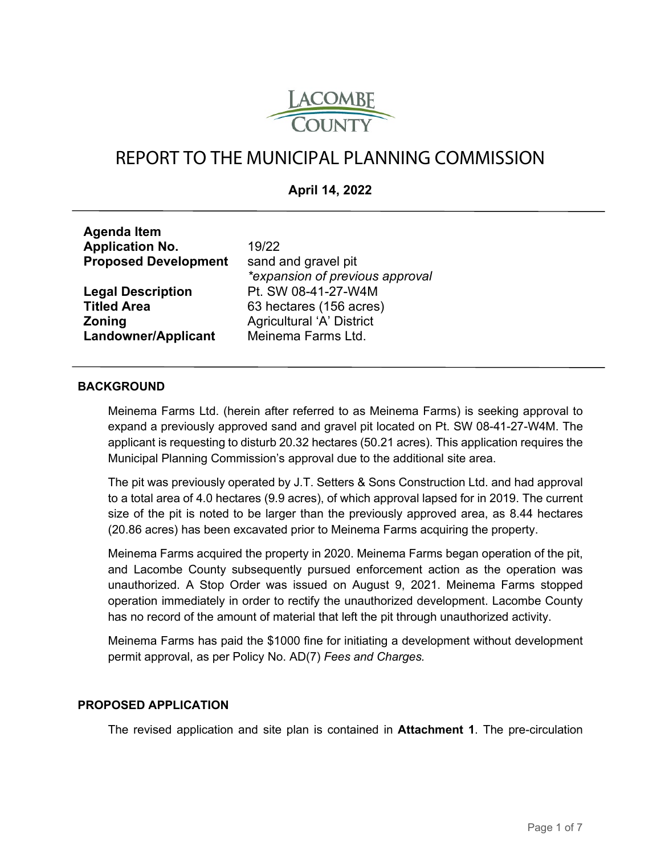

# REPORT TO THE MUNICIPAL PLANNING COMMISSION

# **April 14, 2022**

| <b>Ayding Itelli</b>        |                                  |
|-----------------------------|----------------------------------|
| <b>Application No.</b>      | 19/22                            |
| <b>Proposed Development</b> | sand and gravel pit              |
|                             | *expansion of previous approval  |
| <b>Legal Description</b>    | Pt. SW 08-41-27-W4M              |
| <b>Titled Area</b>          | 63 hectares (156 acres)          |
| <b>Zoning</b>               | <b>Agricultural 'A' District</b> |
| <b>Landowner/Applicant</b>  | Meinema Farms Ltd.               |
|                             |                                  |

#### **BACKGROUND**

**Agenda Item** 

Meinema Farms Ltd. (herein after referred to as Meinema Farms) is seeking approval to expand a previously approved sand and gravel pit located on Pt. SW 08-41-27-W4M. The applicant is requesting to disturb 20.32 hectares (50.21 acres). This application requires the Municipal Planning Commission's approval due to the additional site area.

The pit was previously operated by J.T. Setters & Sons Construction Ltd. and had approval to a total area of 4.0 hectares (9.9 acres), of which approval lapsed for in 2019. The current size of the pit is noted to be larger than the previously approved area, as 8.44 hectares (20.86 acres) has been excavated prior to Meinema Farms acquiring the property.

Meinema Farms acquired the property in 2020. Meinema Farms began operation of the pit, and Lacombe County subsequently pursued enforcement action as the operation was unauthorized. A Stop Order was issued on August 9, 2021. Meinema Farms stopped operation immediately in order to rectify the unauthorized development. Lacombe County has no record of the amount of material that left the pit through unauthorized activity.

Meinema Farms has paid the \$1000 fine for initiating a development without development permit approval, as per Policy No. AD(7) *Fees and Charges.*

#### **PROPOSED APPLICATION**

The revised application and site plan is contained in **Attachment 1**. The pre-circulation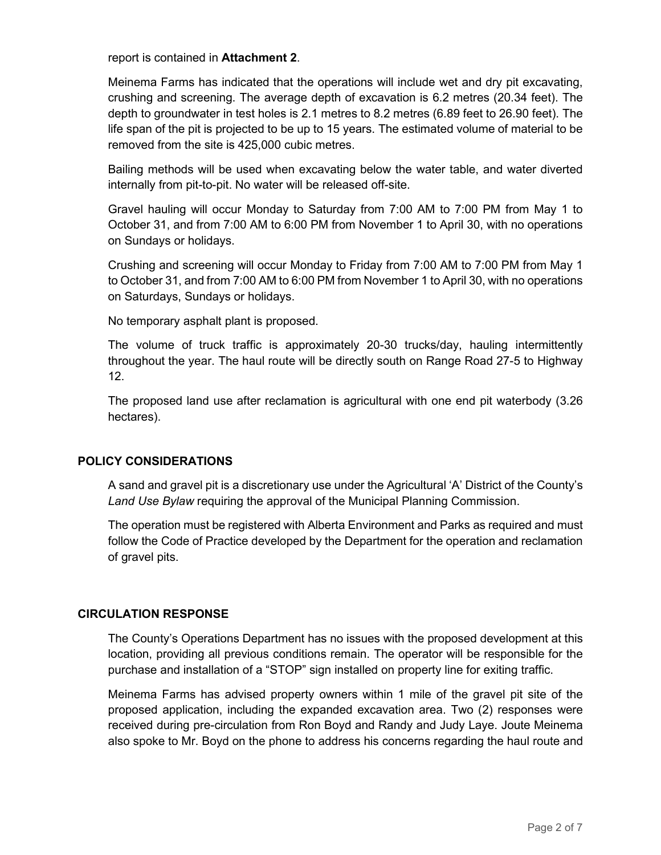report is contained in **Attachment 2**.

Meinema Farms has indicated that the operations will include wet and dry pit excavating, crushing and screening. The average depth of excavation is 6.2 metres (20.34 feet). The depth to groundwater in test holes is 2.1 metres to 8.2 metres (6.89 feet to 26.90 feet). The life span of the pit is projected to be up to 15 years. The estimated volume of material to be removed from the site is 425,000 cubic metres.

Bailing methods will be used when excavating below the water table, and water diverted internally from pit-to-pit. No water will be released off-site.

Gravel hauling will occur Monday to Saturday from 7:00 AM to 7:00 PM from May 1 to October 31, and from 7:00 AM to 6:00 PM from November 1 to April 30, with no operations on Sundays or holidays.

Crushing and screening will occur Monday to Friday from 7:00 AM to 7:00 PM from May 1 to October 31, and from 7:00 AM to 6:00 PM from November 1 to April 30, with no operations on Saturdays, Sundays or holidays.

No temporary asphalt plant is proposed.

The volume of truck traffic is approximately 20-30 trucks/day, hauling intermittently throughout the year. The haul route will be directly south on Range Road 27-5 to Highway 12.

The proposed land use after reclamation is agricultural with one end pit waterbody (3.26 hectares).

## **POLICY CONSIDERATIONS**

A sand and gravel pit is a discretionary use under the Agricultural 'A' District of the County's *Land Use Bylaw* requiring the approval of the Municipal Planning Commission.

The operation must be registered with Alberta Environment and Parks as required and must follow the Code of Practice developed by the Department for the operation and reclamation of gravel pits.

## **CIRCULATION RESPONSE**

The County's Operations Department has no issues with the proposed development at this location, providing all previous conditions remain. The operator will be responsible for the purchase and installation of a "STOP" sign installed on property line for exiting traffic.

Meinema Farms has advised property owners within 1 mile of the gravel pit site of the proposed application, including the expanded excavation area. Two (2) responses were received during pre-circulation from Ron Boyd and Randy and Judy Laye. Joute Meinema also spoke to Mr. Boyd on the phone to address his concerns regarding the haul route and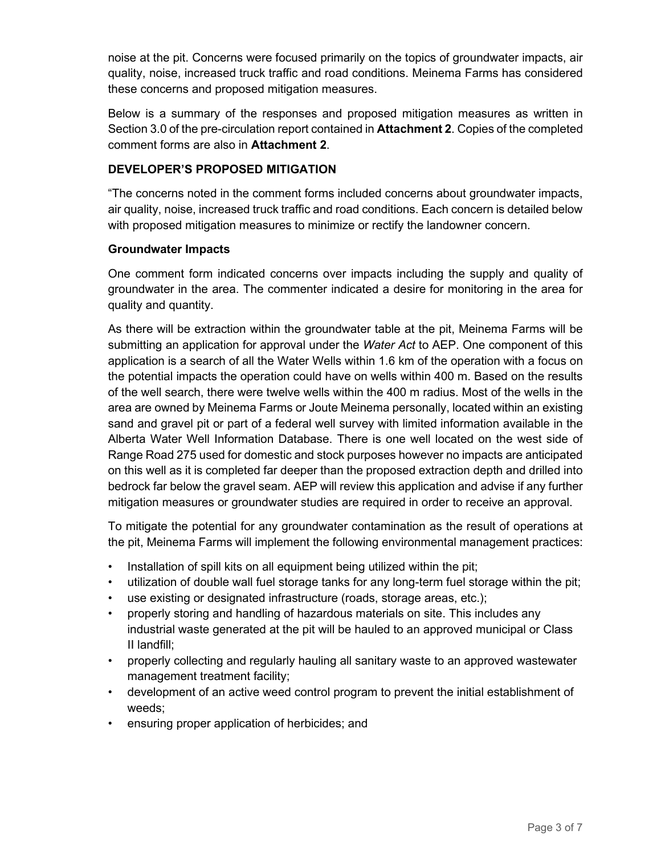noise at the pit. Concerns were focused primarily on the topics of groundwater impacts, air quality, noise, increased truck traffic and road conditions. Meinema Farms has considered these concerns and proposed mitigation measures.

Below is a summary of the responses and proposed mitigation measures as written in Section 3.0 of the pre-circulation report contained in **Attachment 2**. Copies of the completed comment forms are also in **Attachment 2**.

# **DEVELOPER'S PROPOSED MITIGATION**

"The concerns noted in the comment forms included concerns about groundwater impacts, air quality, noise, increased truck traffic and road conditions. Each concern is detailed below with proposed mitigation measures to minimize or rectify the landowner concern.

# **Groundwater Impacts**

One comment form indicated concerns over impacts including the supply and quality of groundwater in the area. The commenter indicated a desire for monitoring in the area for quality and quantity.

As there will be extraction within the groundwater table at the pit, Meinema Farms will be submitting an application for approval under the *Water Act* to AEP. One component of this application is a search of all the Water Wells within 1.6 km of the operation with a focus on the potential impacts the operation could have on wells within 400 m. Based on the results of the well search, there were twelve wells within the 400 m radius. Most of the wells in the area are owned by Meinema Farms or Joute Meinema personally, located within an existing sand and gravel pit or part of a federal well survey with limited information available in the Alberta Water Well Information Database. There is one well located on the west side of Range Road 275 used for domestic and stock purposes however no impacts are anticipated on this well as it is completed far deeper than the proposed extraction depth and drilled into bedrock far below the gravel seam. AEP will review this application and advise if any further mitigation measures or groundwater studies are required in order to receive an approval.

To mitigate the potential for any groundwater contamination as the result of operations at the pit, Meinema Farms will implement the following environmental management practices:

- Installation of spill kits on all equipment being utilized within the pit;
- utilization of double wall fuel storage tanks for any long-term fuel storage within the pit;
- use existing or designated infrastructure (roads, storage areas, etc.);
- properly storing and handling of hazardous materials on site. This includes any industrial waste generated at the pit will be hauled to an approved municipal or Class II landfill;
- properly collecting and regularly hauling all sanitary waste to an approved wastewater management treatment facility;
- development of an active weed control program to prevent the initial establishment of weeds;
- ensuring proper application of herbicides; and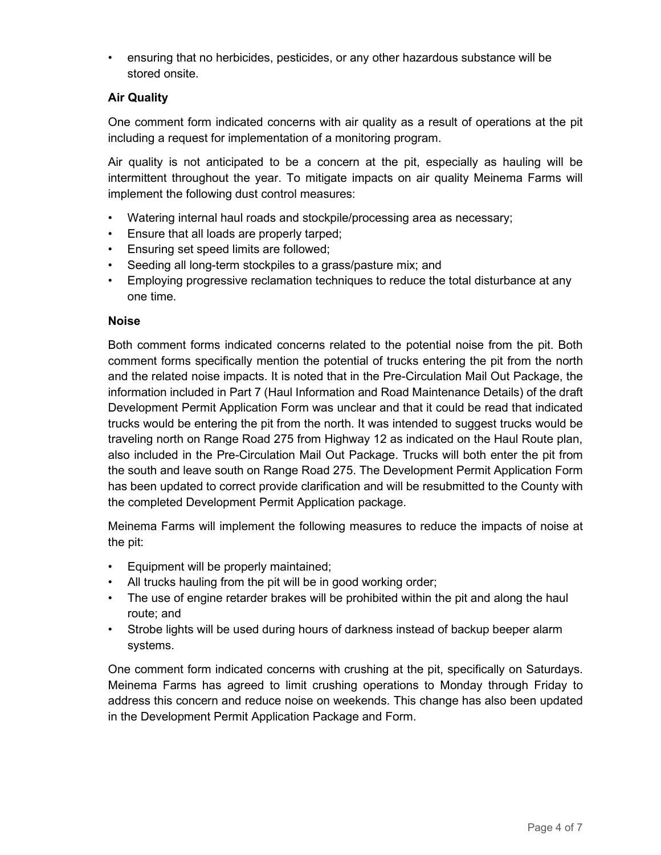• ensuring that no herbicides, pesticides, or any other hazardous substance will be stored onsite.

# **Air Quality**

One comment form indicated concerns with air quality as a result of operations at the pit including a request for implementation of a monitoring program.

Air quality is not anticipated to be a concern at the pit, especially as hauling will be intermittent throughout the year. To mitigate impacts on air quality Meinema Farms will implement the following dust control measures:

- Watering internal haul roads and stockpile/processing area as necessary;
- Ensure that all loads are properly tarped;
- Ensuring set speed limits are followed;
- Seeding all long-term stockpiles to a grass/pasture mix; and
- Employing progressive reclamation techniques to reduce the total disturbance at any one time.

#### **Noise**

Both comment forms indicated concerns related to the potential noise from the pit. Both comment forms specifically mention the potential of trucks entering the pit from the north and the related noise impacts. It is noted that in the Pre-Circulation Mail Out Package, the information included in Part 7 (Haul Information and Road Maintenance Details) of the draft Development Permit Application Form was unclear and that it could be read that indicated trucks would be entering the pit from the north. It was intended to suggest trucks would be traveling north on Range Road 275 from Highway 12 as indicated on the Haul Route plan, also included in the Pre-Circulation Mail Out Package. Trucks will both enter the pit from the south and leave south on Range Road 275. The Development Permit Application Form has been updated to correct provide clarification and will be resubmitted to the County with the completed Development Permit Application package.

Meinema Farms will implement the following measures to reduce the impacts of noise at the pit:

- Equipment will be properly maintained;
- All trucks hauling from the pit will be in good working order;
- The use of engine retarder brakes will be prohibited within the pit and along the haul route; and
- Strobe lights will be used during hours of darkness instead of backup beeper alarm systems.

One comment form indicated concerns with crushing at the pit, specifically on Saturdays. Meinema Farms has agreed to limit crushing operations to Monday through Friday to address this concern and reduce noise on weekends. This change has also been updated in the Development Permit Application Package and Form.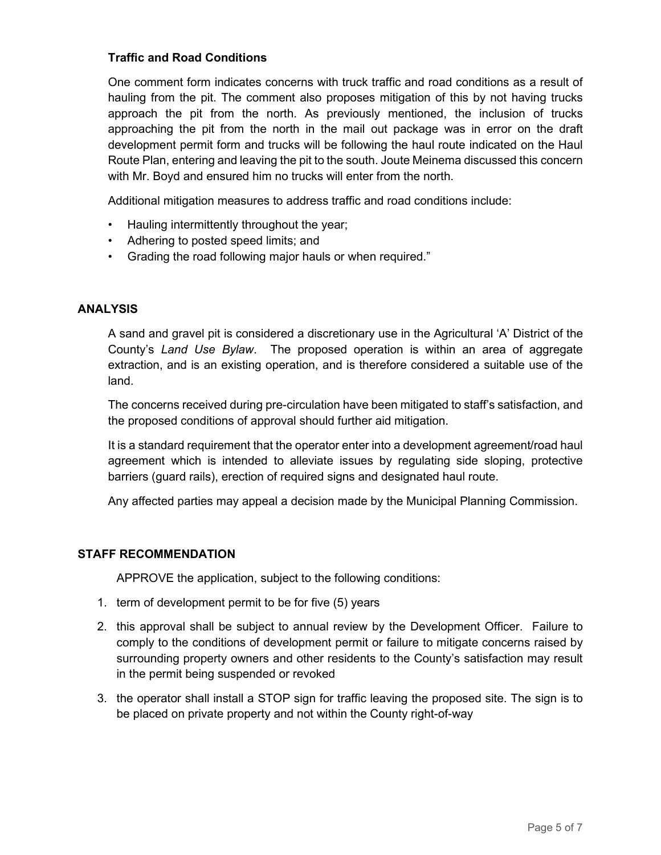# **Traffic and Road Conditions**

One comment form indicates concerns with truck traffic and road conditions as a result of hauling from the pit. The comment also proposes mitigation of this by not having trucks approach the pit from the north. As previously mentioned, the inclusion of trucks approaching the pit from the north in the mail out package was in error on the draft development permit form and trucks will be following the haul route indicated on the Haul Route Plan, entering and leaving the pit to the south. Joute Meinema discussed this concern with Mr. Boyd and ensured him no trucks will enter from the north.

Additional mitigation measures to address traffic and road conditions include:

- Hauling intermittently throughout the year;
- Adhering to posted speed limits; and
- Grading the road following major hauls or when required."

## **ANALYSIS**

A sand and gravel pit is considered a discretionary use in the Agricultural 'A' District of the County's *Land Use Bylaw*. The proposed operation is within an area of aggregate extraction, and is an existing operation, and is therefore considered a suitable use of the land.

The concerns received during pre-circulation have been mitigated to staff's satisfaction, and the proposed conditions of approval should further aid mitigation.

It is a standard requirement that the operator enter into a development agreement/road haul agreement which is intended to alleviate issues by regulating side sloping, protective barriers (guard rails), erection of required signs and designated haul route.

Any affected parties may appeal a decision made by the Municipal Planning Commission.

## **STAFF RECOMMENDATION**

APPROVE the application, subject to the following conditions:

- 1. term of development permit to be for five (5) years
- 2. this approval shall be subject to annual review by the Development Officer. Failure to comply to the conditions of development permit or failure to mitigate concerns raised by surrounding property owners and other residents to the County's satisfaction may result in the permit being suspended or revoked
- 3. the operator shall install a STOP sign for traffic leaving the proposed site. The sign is to be placed on private property and not within the County right-of-way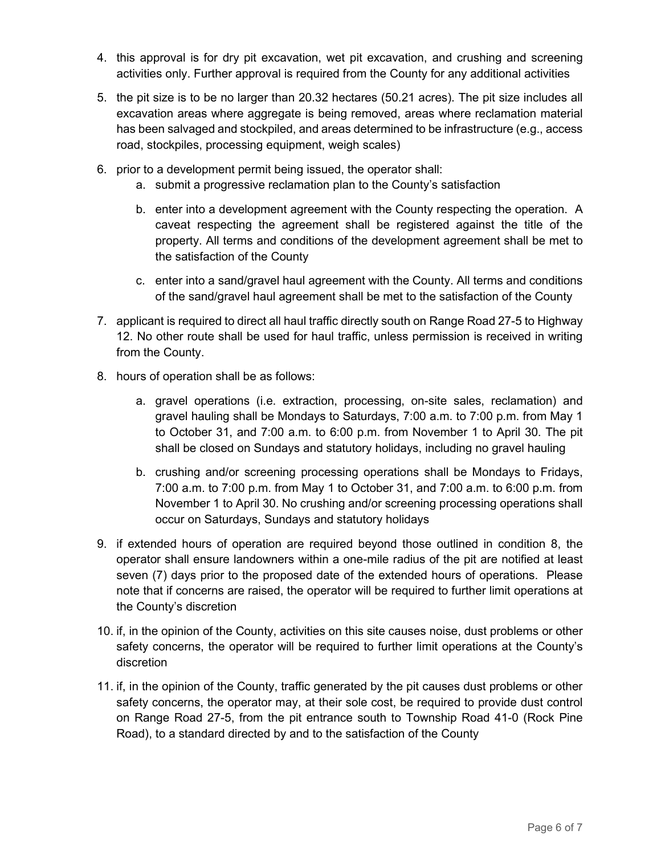- 4. this approval is for dry pit excavation, wet pit excavation, and crushing and screening activities only. Further approval is required from the County for any additional activities
- 5. the pit size is to be no larger than 20.32 hectares (50.21 acres). The pit size includes all excavation areas where aggregate is being removed, areas where reclamation material has been salvaged and stockpiled, and areas determined to be infrastructure (e.g., access road, stockpiles, processing equipment, weigh scales)
- 6. prior to a development permit being issued, the operator shall:
	- a. submit a progressive reclamation plan to the County's satisfaction
	- b. enter into a development agreement with the County respecting the operation. A caveat respecting the agreement shall be registered against the title of the property. All terms and conditions of the development agreement shall be met to the satisfaction of the County
	- c. enter into a sand/gravel haul agreement with the County. All terms and conditions of the sand/gravel haul agreement shall be met to the satisfaction of the County
- 7. applicant is required to direct all haul traffic directly south on Range Road 27-5 to Highway 12. No other route shall be used for haul traffic, unless permission is received in writing from the County.
- 8. hours of operation shall be as follows:
	- a. gravel operations (i.e. extraction, processing, on-site sales, reclamation) and gravel hauling shall be Mondays to Saturdays, 7:00 a.m. to 7:00 p.m. from May 1 to October 31, and 7:00 a.m. to 6:00 p.m. from November 1 to April 30. The pit shall be closed on Sundays and statutory holidays, including no gravel hauling
	- b. crushing and/or screening processing operations shall be Mondays to Fridays, 7:00 a.m. to 7:00 p.m. from May 1 to October 31, and 7:00 a.m. to 6:00 p.m. from November 1 to April 30. No crushing and/or screening processing operations shall occur on Saturdays, Sundays and statutory holidays
- 9. if extended hours of operation are required beyond those outlined in condition 8, the operator shall ensure landowners within a one-mile radius of the pit are notified at least seven (7) days prior to the proposed date of the extended hours of operations. Please note that if concerns are raised, the operator will be required to further limit operations at the County's discretion
- 10. if, in the opinion of the County, activities on this site causes noise, dust problems or other safety concerns, the operator will be required to further limit operations at the County's discretion
- 11. if, in the opinion of the County, traffic generated by the pit causes dust problems or other safety concerns, the operator may, at their sole cost, be required to provide dust control on Range Road 27-5, from the pit entrance south to Township Road 41-0 (Rock Pine Road), to a standard directed by and to the satisfaction of the County